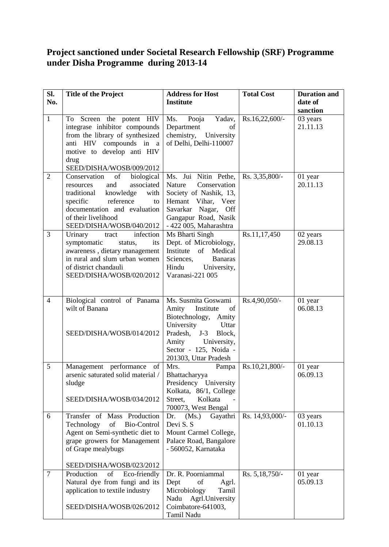## **Project sanctioned under Societal Research Fellowship (SRF) Programme under Disha Programme during 2013-14**

| SI.<br>No.     | <b>Title of the Project</b>                                                                                                                                                                                              | <b>Address for Host</b><br><b>Institute</b>                                                                                                                                                        | <b>Total Cost</b> | <b>Duration and</b><br>date of |
|----------------|--------------------------------------------------------------------------------------------------------------------------------------------------------------------------------------------------------------------------|----------------------------------------------------------------------------------------------------------------------------------------------------------------------------------------------------|-------------------|--------------------------------|
|                |                                                                                                                                                                                                                          |                                                                                                                                                                                                    |                   | sanction                       |
| $\mathbf{1}$   | To Screen the potent HIV<br>integrase inhibitor compounds<br>from the library of synthesized<br>anti HIV compounds in a<br>motive to develop anti HIV<br>drug<br>SEED/DISHA/WOSB/009/2012                                | Ms. Pooja<br>Yadav,<br>Department<br>of<br>chemistry, University<br>of Delhi, Delhi-110007                                                                                                         | Rs.16,22,600/-    | 03 years<br>21.11.13           |
| $\overline{2}$ | of<br>Conservation<br>biological<br>and<br>associated<br>resources<br>with<br>traditional<br>knowledge<br>reference<br>specific<br>to<br>documentation and evaluation<br>of their livelihood<br>SEED/DISHA/WOSB/040/2012 | Ms. Jui Nitin Pethe,<br>Nature<br>Conservation<br>Society of Nashik, 13,<br>Hemant Vihar, Veer<br>Savarkar Nagar, Off<br>Gangapur Road, Nasik<br>- 422 005, Maharashtra                            | Rs. 3,35,800/-    | 01 year<br>20.11.13            |
| $\overline{3}$ | infection<br>Urinary<br>tract<br>symptomatic<br>status,<br>its<br>awareness, dietary management<br>in rural and slum urban women<br>of district chandauli<br>SEED/DISHA/WOSB/020/2012                                    | Ms Bharti Singh<br>Dept. of Microbiology,<br>Institute of Medical<br>Sciences,<br><b>Banaras</b><br>Hindu<br>University,<br>Varanasi-221 005                                                       | Rs.11,17,450      | 02 years<br>29.08.13           |
| $\overline{4}$ | Biological control of Panama<br>wilt of Banana<br>SEED/DISHA/WOSB/014/2012                                                                                                                                               | Ms. Susmita Goswami<br>Institute<br>Amity<br>of<br>Biotechnology, Amity<br>University<br>Uttar<br>Pradesh, J-3<br>Block,<br>Amity<br>University,<br>Sector - 125, Noida -<br>201303, Uttar Pradesh | Rs.4,90,050/-     | 01 year<br>06.08.13            |
| 5              | Management performance of<br>arsenic saturated solid material /<br>sludge<br>SEED/DISHA/WOSB/034/2012                                                                                                                    | Mrs.<br>Pampa<br>Bhattacharyya<br>Presidency University<br>Kolkata, 86/1, College<br>Kolkata<br>Street,<br>700073, West Bengal                                                                     | Rs.10,21,800/-    | 01 year<br>06.09.13            |
| 6              | Transfer of Mass Production<br>Technology<br>of<br>Bio-Control<br>Agent on Semi-synthetic diet to<br>grape growers for Management<br>of Grape mealybugs<br>SEED/DISHA/WOSB/023/2012                                      | Gayathri<br>(Ms.)<br>Dr.<br>Devi S. S<br>Mount Carmel College,<br>Palace Road, Bangalore<br>- 560052, Karnataka                                                                                    | Rs. 14,93,000/-   | 03 years<br>01.10.13           |
| $\overline{7}$ | Production<br>of<br>Eco-friendly<br>Natural dye from fungi and its<br>application to textile industry<br>SEED/DISHA/WOSB/026/2012                                                                                        | Dr. R. Poorniammal<br>Dept<br>of<br>Agrl.<br>Microbiology<br>Tamil<br>Agrl.University<br>Nadu<br>Coimbatore-641003,<br>Tamil Nadu                                                                  | Rs. 5,18,750/-    | 01 year<br>05.09.13            |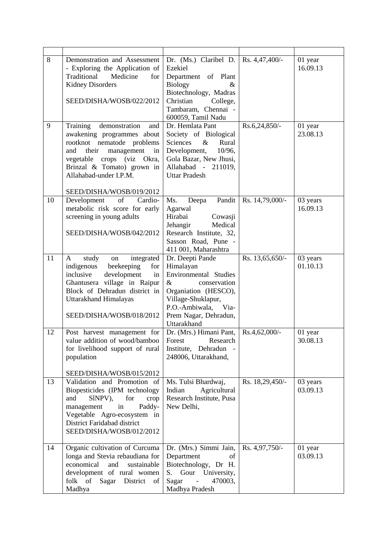| 8<br>9 | Demonstration and Assessment<br>- Exploring the Application of<br>Traditional<br>Medicine<br>for<br><b>Kidney Disorders</b><br>SEED/DISHA/WOSB/022/2012<br>Training<br>demonstration<br>and<br>awakening programmes about | Dr. (Ms.) Claribel D.<br>Ezekiel<br>Department of Plant<br><b>Biology</b><br>&<br>Biotechnology, Madras<br>Christian<br>College,<br>Tambaram, Chennai -<br>600059, Tamil Nadu<br>Dr. Hemlata Pant<br>Society of Biological | Rs. 4,47,400/-<br>Rs.6,24,850/- | 01 year<br>16.09.13<br>01 year<br>23.08.13 |
|--------|---------------------------------------------------------------------------------------------------------------------------------------------------------------------------------------------------------------------------|----------------------------------------------------------------------------------------------------------------------------------------------------------------------------------------------------------------------------|---------------------------------|--------------------------------------------|
|        | rootknot nematode problems<br>their<br>and<br>management<br>in<br>vegetable crops (viz Okra,<br>Brinzal & Tomato) grown in<br>Allahabad-under I.P.M.<br>SEED/DISHA/WOSB/019/2012                                          | $\&$<br>Sciences<br>Rural<br>Development,<br>$10/96$ ,<br>Gola Bazar, New Jhusi,<br>Allahabad - 211019,<br><b>Uttar Pradesh</b>                                                                                            |                                 |                                            |
| 10     | of<br>Development<br>Cardio-<br>metabolic risk score for early<br>screening in young adults<br>SEED/DISHA/WOSB/042/2012                                                                                                   | Pandit<br>Ms.<br>Deepa<br>Agarwal<br>Hirabai<br>Cowasji<br>Jehangir<br>Medical<br>Research Institute, 32,<br>Sasson Road, Pune -<br>411 001, Maharashtra                                                                   | Rs. 14,79,000/-                 | 03 years<br>16.09.13                       |
| 11     | integrated<br>study<br>A<br>on<br>indigenous<br>beekeeping<br>for<br>inclusive<br>development<br>in<br>Ghantusera village in Raipur<br>Block of Dehradun district in<br>Uttarakhand Himalayas<br>SEED/DISHA/WOSB/018/2012 | Dr. Deepti Pande<br>Himalayan<br>Environmental Studies<br>$\&$<br>conservation<br>Organiation (HESCO),<br>Village-Shuklapur,<br>P.O.-Ambiwala,<br>Via-<br>Prem Nagar, Dehradun,<br>Uttarakhand                             | Rs. 13,65,650/-                 | 03 years<br>01.10.13                       |
| 12     | Post harvest management for<br>value addition of wood/bamboo<br>for livelihood support of rural<br>population<br>SEED/DISHA/WOSB/015/2012                                                                                 | Dr. (Mrs.) Himani Pant,<br>Research<br>Forest<br>Institute, Dehradun -<br>248006, Uttarakhand,                                                                                                                             | Rs.4,62,000/-                   | 01 year<br>30.08.13                        |
| 13     | Validation and Promotion of<br>Biopesticides (IPM technology<br>and<br>SINPV),<br>for<br>crop<br>in<br>Paddy-<br>management<br>Vegetable Agro-ecosystem in<br>District Faridabad district<br>SEED/DISHA/WOSB/012/2012     | Ms. Tulsi Bhardwaj,<br>Indian<br>Agricultural<br>Research Institute, Pusa<br>New Delhi,                                                                                                                                    | Rs. 18,29,450/-                 | 03 years<br>03.09.13                       |
| 14     | Organic cultivation of Curcuma<br>longa and Stevia rebaudiana for<br>economical<br>and<br>sustainable<br>development of rural women<br>folk of<br>Sagar<br>District of<br>Madhya                                          | Dr. (Mrs.) Simmi Jain,<br>Department<br>οf<br>Biotechnology, Dr H.<br>Gour University,<br>S.<br>Sagar<br>470003,<br>$\frac{1}{2}$<br>Madhya Pradesh                                                                        | Rs. 4,97,750/-                  | 01 year<br>03.09.13                        |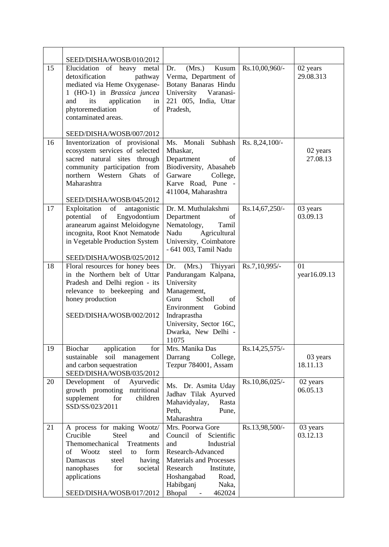|    | SEED/DISHA/WOSB/010/2012                                                                                                                                                                                                                          |                                                                                                                                                                                                            |                |                       |
|----|---------------------------------------------------------------------------------------------------------------------------------------------------------------------------------------------------------------------------------------------------|------------------------------------------------------------------------------------------------------------------------------------------------------------------------------------------------------------|----------------|-----------------------|
| 15 | Elucidation of heavy metal<br>detoxification<br>pathway<br>mediated via Heme Oxygenase-<br>1 (HO-1) in <i>Brassica juncea</i><br>application<br>and<br>its<br>in<br>phytoremediation<br>of<br>contaminated areas.<br>SEED/DISHA/WOSB/007/2012     | Kusum<br>Dr.<br>(Mrs.)<br>Verma, Department of<br>Botany Banaras Hindu<br>University Varanasi-<br>221 005, India, Uttar<br>Pradesh,                                                                        | Rs.10,00,960/- | 02 years<br>29.08.313 |
| 16 | Inventorization of provisional                                                                                                                                                                                                                    | Ms. Monali Subhash                                                                                                                                                                                         | Rs. 8,24,100/- |                       |
|    | ecosystem services of selected<br>sacred natural sites through<br>community participation from<br>northern Western Ghats<br>of<br>Maharashtra<br>SEED/DISHA/WOSB/045/2012                                                                         | Mhaskar,<br>Department<br>of<br>Biodiversity, Abasaheb<br>Garware<br>College,<br>Karve Road, Pune -<br>411004, Maharashtra                                                                                 |                | 02 years<br>27.08.13  |
| 17 | Exploitation<br>of<br>antagonistic<br>potential of<br>Engyodontium<br>aranearum against Meloidogyne<br>incognita, Root Knot Nematode<br>in Vegetable Production System                                                                            | Dr. M. Muthulakshmi<br>Department<br>of<br>Nematology,<br>Tamil<br>Nadu<br>Agricultural<br>University, Coimbatore<br>- 641 003, Tamil Nadu                                                                 | Rs.14,67,250/- | 03 years<br>03.09.13  |
|    | SEED/DISHA/WOSB/025/2012                                                                                                                                                                                                                          |                                                                                                                                                                                                            |                |                       |
| 18 | Floral resources for honey bees<br>in the Northern belt of Uttar<br>Pradesh and Delhi region - its<br>relevance to beekeeping and<br>honey production<br>SEED/DISHA/WOSB/002/2012                                                                 | Thiyyari<br>(Mrs.)<br>Dr.<br>Pandurangam Kalpana,<br>University<br>Management,<br>Guru<br>Scholl<br>of<br>Environment<br>Gobind<br>Indraprastha<br>University, Sector 16C,<br>Dwarka, New Delhi -<br>11075 | Rs.7,10,995/-  | 01<br>year16.09.13    |
| 19 | application<br>Biochar<br>for<br>sustainable<br>soil management<br>and carbon sequestration<br>SEED/DISHA/WOSB/035/2012                                                                                                                           | Mrs. Manika Das<br>Darrang<br>College,<br>Tezpur 784001, Assam                                                                                                                                             | Rs.14,25,575/- | 03 years<br>18.11.13  |
| 20 | Development<br>of<br>Ayurvedic<br>growth promoting<br>nutritional<br>supplement<br>for<br>children<br>SSD/SS/023/2011                                                                                                                             | Ms. Dr. Asmita Uday<br>Jadhav Tilak Ayurved<br>Mahavidyalay,<br>Rasta<br>Peth,<br>Pune,<br>Maharashtra                                                                                                     | Rs.10,86,025/- | 02 years<br>06.05.13  |
| 21 | A process for making Wootz/<br>Crucible<br><b>Steel</b><br>and<br>Themomechanical<br>Treatments<br>Wootz<br>form<br>of<br>steel<br>to<br>Damascus<br>having<br>steel<br>nanophases<br>for<br>societal<br>applications<br>SEED/DISHA/WOSB/017/2012 | Mrs. Poorwa Gore<br>Council of Scientific<br>and<br>Industrial<br>Research-Advanced<br>Materials and Processes<br>Research<br>Institute,<br>Hoshangabad<br>Road,<br>Habibganj<br>Naka,<br>Bhopal<br>462024 | Rs.13,98,500/- | 03 years<br>03.12.13  |